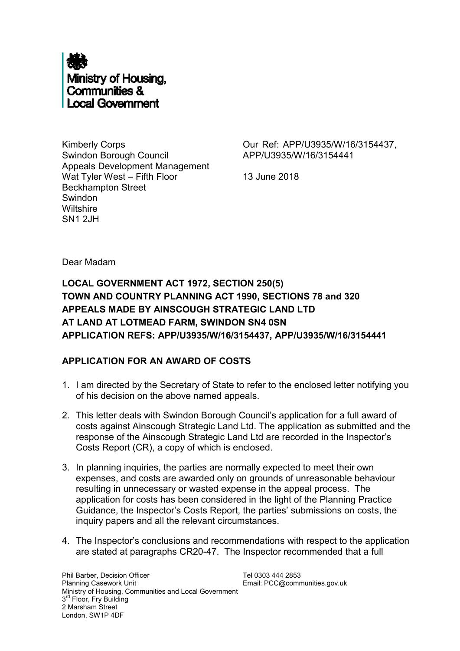

Kimberly Corps Swindon Borough Council Appeals Development Management Wat Tyler West – Fifth Floor Beckhampton Street Swindon **Wiltshire** SN1 2JH

Our Ref: APP/U3935/W/16/3154437, APP/U3935/W/16/3154441

13 June 2018

Dear Madam

**LOCAL GOVERNMENT ACT 1972, SECTION 250(5) TOWN AND COUNTRY PLANNING ACT 1990, SECTIONS 78 and 320 APPEALS MADE BY AINSCOUGH STRATEGIC LAND LTD AT LAND AT LOTMEAD FARM, SWINDON SN4 0SN APPLICATION REFS: APP/U3935/W/16/3154437, APP/U3935/W/16/3154441**

## **APPLICATION FOR AN AWARD OF COSTS**

- 1. I am directed by the Secretary of State to refer to the enclosed letter notifying you of his decision on the above named appeals.
- 2. This letter deals with Swindon Borough Council's application for a full award of costs against Ainscough Strategic Land Ltd. The application as submitted and the response of the Ainscough Strategic Land Ltd are recorded in the Inspector's Costs Report (CR), a copy of which is enclosed.
- 3. In planning inquiries, the parties are normally expected to meet their own expenses, and costs are awarded only on grounds of unreasonable behaviour resulting in unnecessary or wasted expense in the appeal process. The application for costs has been considered in the light of the Planning Practice Guidance, the Inspector's Costs Report, the parties' submissions on costs, the inquiry papers and all the relevant circumstances.
- 4. The Inspector's conclusions and recommendations with respect to the application are stated at paragraphs CR20-47. The Inspector recommended that a full

Tel 0303 444 2853 Email: PCC@communities.gov.uk